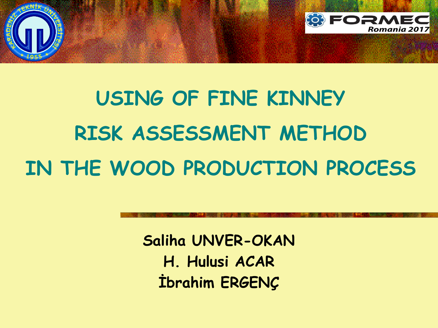

# **USING OF FINE KINNEY RISK ASSESSMENT METHOD IN THE WOOD PRODUCTION PROCESS**

**Saliha UNVER-OKAN H. Hulusi ACAR İbrahim ERGENÇ**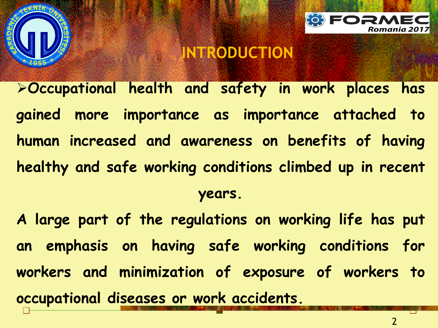



**Occupational health and safety in work places has gained more importance as importance attached to human increased and awareness on benefits of having healthy and safe working conditions climbed up in recent years.**

**A large part of the regulations on working life has put an emphasis on having safe working conditions for workers and minimization of exposure of workers to occupational diseases or work accidents.**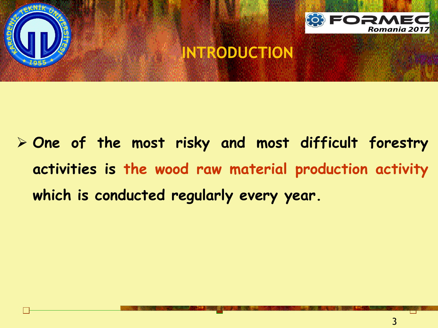



 **One of the most risky and most difficult forestry activities is the wood raw material production activity which is conducted regularly every year.**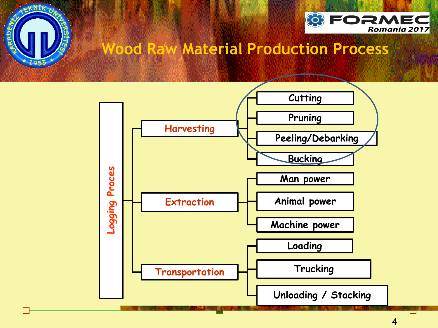



#### **Wood Raw Material Production Process**

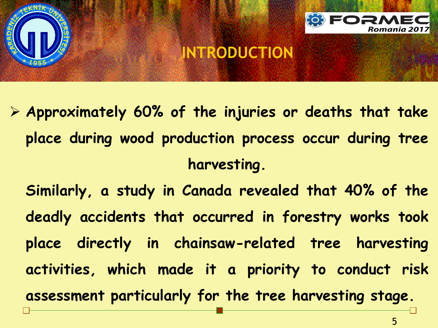



- **Approximately 60% of the injuries or deaths that take place during wood production process occur during tree harvesting.**
	- **Similarly, a study in Canada revealed that 40% of the deadly accidents that occurred in forestry works took place directly in chainsaw-related tree harvesting activities, which made it a priority to conduct risk assessment particularly for the tree harvesting stage.**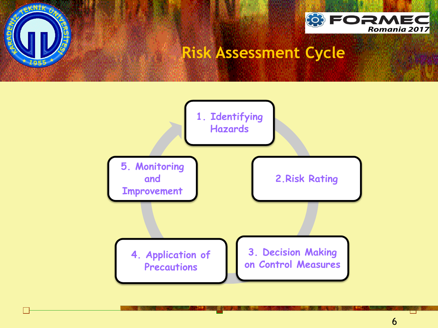



#### **Risk Assessment Cycle**

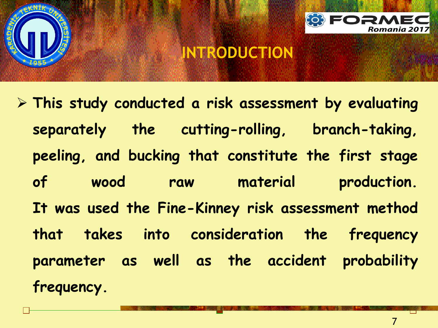



 **This study conducted a risk assessment by evaluating separately the cutting-rolling, branch-taking, peeling, and bucking that constitute the first stage of wood raw material production. It was used the Fine-Kinney risk assessment method that takes into consideration the frequency parameter as well as the accident probability frequency.**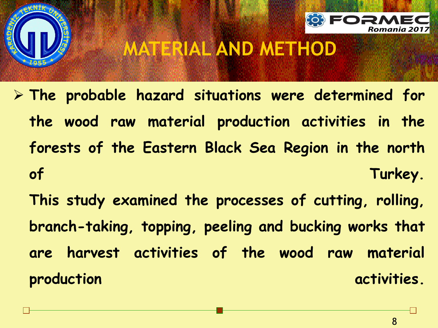



### **MATERIAL AND METHOD**

- **The probable hazard situations were determined for the wood raw material production activities in the forests of the Eastern Black Sea Region in the north of Turkey.**
	- **This study examined the processes of cutting, rolling, branch-taking, topping, peeling and bucking works that are harvest activities of the wood raw material production activities.**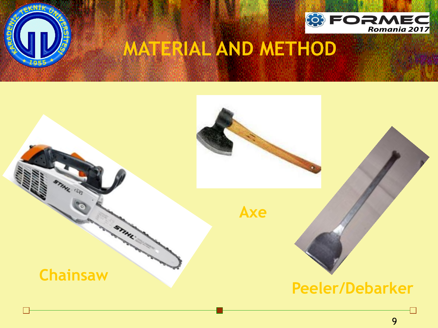



# **MATERIAL AND METHOD**

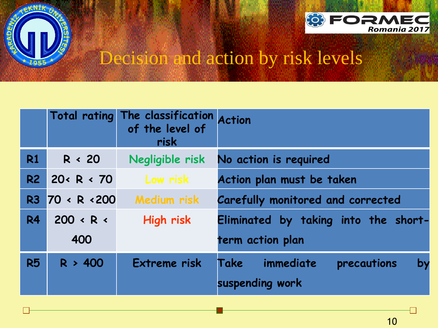



### Decision and action by risk levels

|           |                         | Total rating The classification Action<br>risk |                                          |  |  |  |
|-----------|-------------------------|------------------------------------------------|------------------------------------------|--|--|--|
| <b>R1</b> | R < 20                  | Negligible risk                                | No action is required                    |  |  |  |
| R2        | $20 \times R \times 70$ | Low risk                                       | Action plan must be taken                |  |  |  |
| R3        | 70 < R < 200            | <b>Medium risk</b>                             | <b>Carefully monitored and corrected</b> |  |  |  |
| <b>R4</b> | $200 \cdot R \cdot$     | High risk                                      | Eliminated by taking into the short-     |  |  |  |
|           | 400                     |                                                | term action plan                         |  |  |  |
| <b>R5</b> | R > 400                 | Extreme risk                                   | Take<br>immediate<br>by<br>precautions   |  |  |  |
|           |                         |                                                | suspending work                          |  |  |  |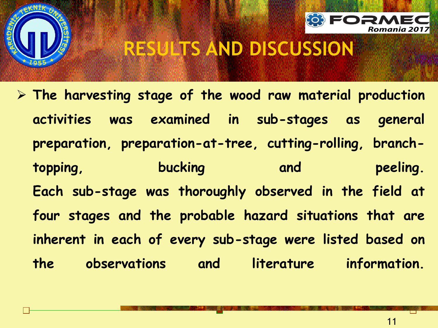

 **The harvesting stage of the wood raw material production activities was examined in sub-stages as general preparation, preparation-at-tree, cutting-rolling, branchtopping, bucking and peeling. Each sub-stage was thoroughly observed in the field at four stages and the probable hazard situations that are inherent in each of every sub-stage were listed based on the observations and literature information.**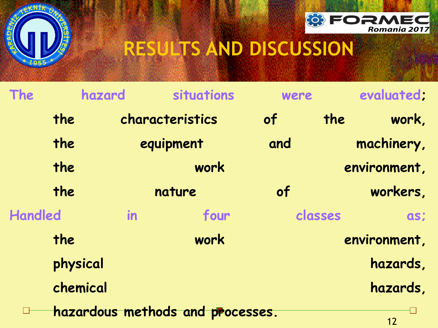



| The            | hazard   | situations                       | were |                | evaluated;   |  |
|----------------|----------|----------------------------------|------|----------------|--------------|--|
| the            |          | characteristics                  | of   | the            | work,        |  |
| the            |          | equipment                        |      |                | machinery,   |  |
| the            |          | work<br>nature                   |      |                | environment, |  |
| the            |          |                                  |      | workers,<br>of |              |  |
| <b>Handled</b> | in       | four                             |      | classes        | as;          |  |
| the            |          | work                             |      | environment,   |              |  |
|                | physical |                                  |      |                | hazards,     |  |
|                | chemical |                                  |      |                | hazards,     |  |
|                |          | hazardous methods and processes. |      |                |              |  |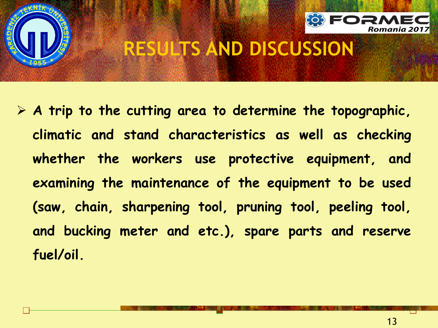

 **A trip to the cutting area to determine the topographic, climatic and stand characteristics as well as checking whether the workers use protective equipment, and examining the maintenance of the equipment to be used (saw, chain, sharpening tool, pruning tool, peeling tool, and bucking meter and etc.), spare parts and reserve fuel/oil.**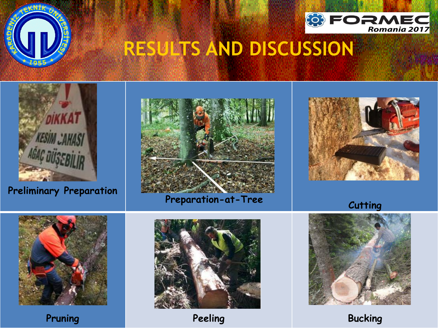





**Preliminary Preparation**













**Pruning Bucking Peeling Bucking**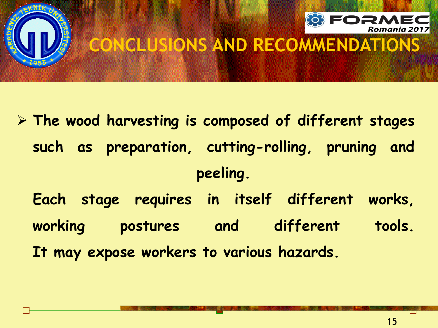



# **CONCLUSIONS AND RECOMMENDATIONS**

- **The wood harvesting is composed of different stages such as preparation, cutting-rolling, pruning and peeling.**
	- **Each stage requires in itself different works, working postures and different tools.**
	- **It may expose workers to various hazards.**